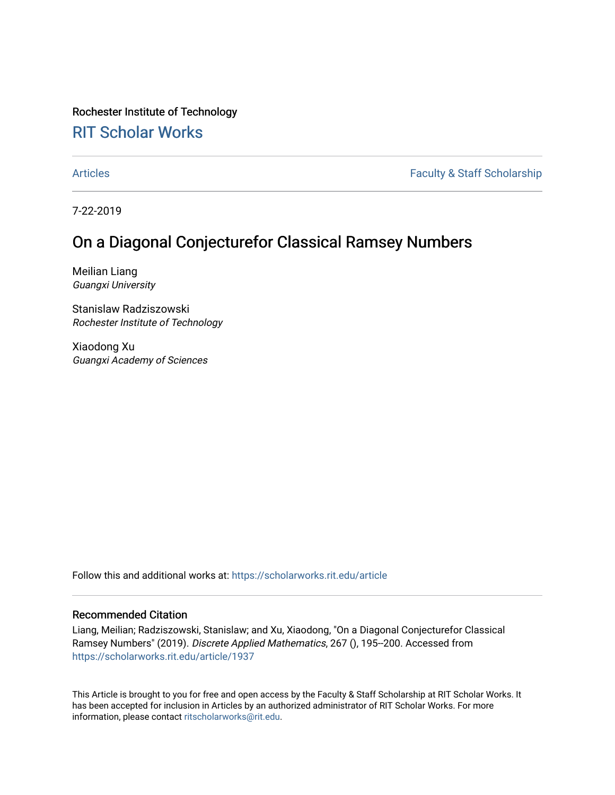Rochester Institute of Technology [RIT Scholar Works](https://scholarworks.rit.edu/)

[Articles](https://scholarworks.rit.edu/article) **Faculty & Staff Scholarship** 

7-22-2019

# On a Diagonal Conjecturefor Classical Ramsey Numbers

Meilian Liang Guangxi University

Stanislaw Radziszowski Rochester Institute of Technology

Xiaodong Xu Guangxi Academy of Sciences

Follow this and additional works at: [https://scholarworks.rit.edu/article](https://scholarworks.rit.edu/article?utm_source=scholarworks.rit.edu%2Farticle%2F1937&utm_medium=PDF&utm_campaign=PDFCoverPages) 

#### Recommended Citation

Liang, Meilian; Radziszowski, Stanislaw; and Xu, Xiaodong, "On a Diagonal Conjecturefor Classical Ramsey Numbers" (2019). Discrete Applied Mathematics, 267 (), 195--200. Accessed from [https://scholarworks.rit.edu/article/1937](https://scholarworks.rit.edu/article/1937?utm_source=scholarworks.rit.edu%2Farticle%2F1937&utm_medium=PDF&utm_campaign=PDFCoverPages)

This Article is brought to you for free and open access by the Faculty & Staff Scholarship at RIT Scholar Works. It has been accepted for inclusion in Articles by an authorized administrator of RIT Scholar Works. For more information, please contact [ritscholarworks@rit.edu.](mailto:ritscholarworks@rit.edu)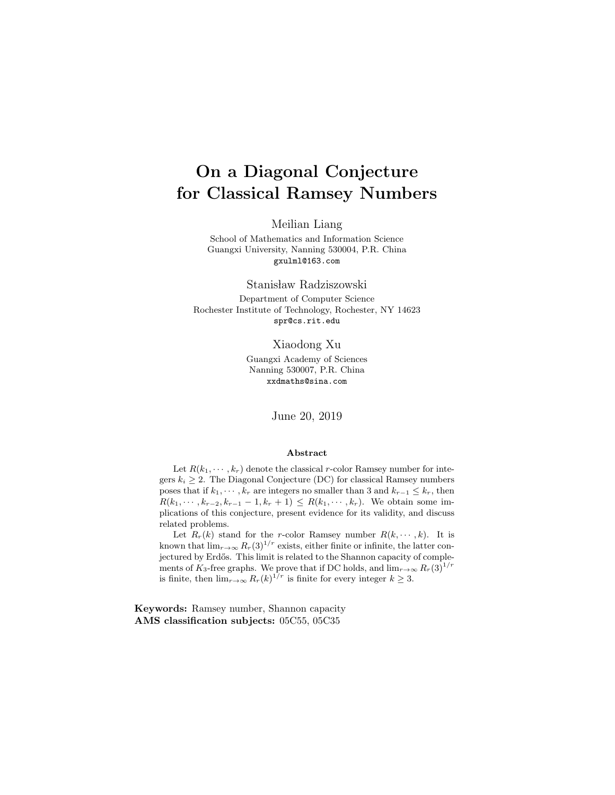# On a Diagonal Conjecture for Classical Ramsey Numbers

Meilian Liang

School of Mathematics and Information Science Guangxi University, Nanning 530004, P.R. China gxulml@163.com

Stanisław Radziszowski

Department of Computer Science Rochester Institute of Technology, Rochester, NY 14623 spr@cs.rit.edu

Xiaodong Xu

Guangxi Academy of Sciences Nanning 530007, P.R. China xxdmaths@sina.com

June 20, 2019

#### Abstract

Let  $R(k_1, \dots, k_r)$  denote the classical r-color Ramsey number for integers  $k_i \geq 2$ . The Diagonal Conjecture (DC) for classical Ramsey numbers poses that if  $k_1, \dots, k_r$  are integers no smaller than 3 and  $k_{r-1} \leq k_r$ , then  $R(k_1, \dots, k_{r-2}, k_{r-1} - 1, k_r + 1) \leq R(k_1, \dots, k_r)$ . We obtain some implications of this conjecture, present evidence for its validity, and discuss related problems.

Let  $R_r(k)$  stand for the r-color Ramsey number  $R(k, \dots, k)$ . It is known that  $\lim_{r\to\infty} R_r(3)^{1/r}$  exists, either finite or infinite, the latter conjectured by Erdős. This limit is related to the Shannon capacity of complements of K<sub>3</sub>-free graphs. We prove that if DC holds, and  $\lim_{r\to\infty} R_r(3)^{1/r}$ is finite, then  $\lim_{r\to\infty} R_r(k)^{1/r}$  is finite for every integer  $k \geq 3$ .

Keywords: Ramsey number, Shannon capacity AMS classification subjects: 05C55, 05C35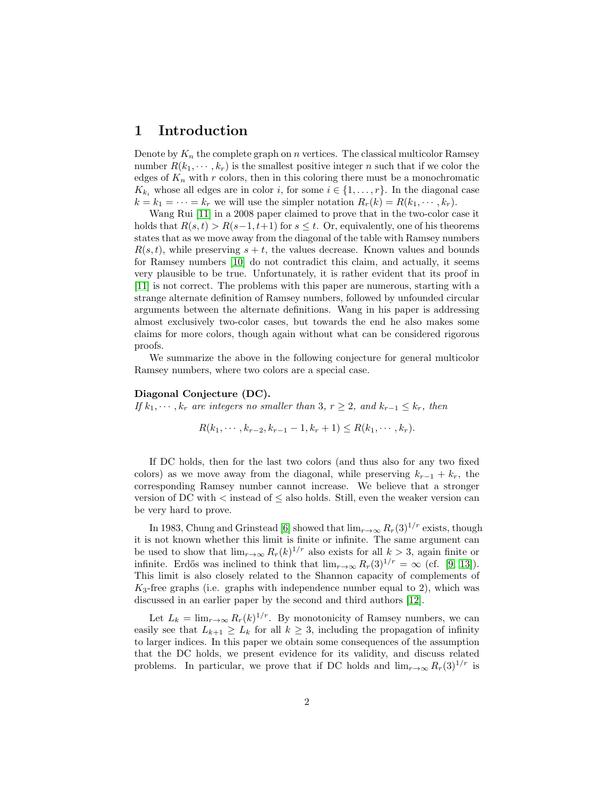## 1 Introduction

Denote by  $K_n$  the complete graph on n vertices. The classical multicolor Ramsey number  $R(k_1, \dots, k_r)$  is the smallest positive integer n such that if we color the edges of  $K_n$  with r colors, then in this coloring there must be a monochromatic  $K_{k_i}$  whose all edges are in color i, for some  $i \in \{1, \ldots, r\}$ . In the diagonal case  $k = k_1 = \cdots = k_r$  we will use the simpler notation  $R_r(k) = R(k_1, \dots, k_r)$ .

Wang Rui [\[11\]](#page-10-0) in a 2008 paper claimed to prove that in the two-color case it holds that  $R(s, t) > R(s-1, t+1)$  for  $s \leq t$ . Or, equivalently, one of his theorems states that as we move away from the diagonal of the table with Ramsey numbers  $R(s, t)$ , while preserving  $s + t$ , the values decrease. Known values and bounds for Ramsey numbers [\[10\]](#page-10-1) do not contradict this claim, and actually, it seems very plausible to be true. Unfortunately, it is rather evident that its proof in [\[11\]](#page-10-0) is not correct. The problems with this paper are numerous, starting with a strange alternate definition of Ramsey numbers, followed by unfounded circular arguments between the alternate definitions. Wang in his paper is addressing almost exclusively two-color cases, but towards the end he also makes some claims for more colors, though again without what can be considered rigorous proofs.

We summarize the above in the following conjecture for general multicolor Ramsey numbers, where two colors are a special case.

#### Diagonal Conjecture (DC).

If  $k_1, \dots, k_r$  are integers no smaller than 3,  $r \geq 2$ , and  $k_{r-1} \leq k_r$ , then

$$
R(k_1, \cdots, k_{r-2}, k_{r-1}-1, k_r+1) \leq R(k_1, \cdots, k_r).
$$

If DC holds, then for the last two colors (and thus also for any two fixed colors) as we move away from the diagonal, while preserving  $k_{r-1} + k_r$ , the corresponding Ramsey number cannot increase. We believe that a stronger version of DC with  $\lt$  instead of  $\leq$  also holds. Still, even the weaker version can be very hard to prove.

In 1983, Chung and Grinstead [\[6\]](#page-9-0) showed that  $\lim_{r\to\infty} R_r(3)^{1/r}$  exists, though it is not known whether this limit is finite or infinite. The same argument can be used to show that  $\lim_{r\to\infty} R_r(k)^{1/r}$  also exists for all  $k > 3$ , again finite or infinite. Erdős was inclined to think that  $\lim_{r\to\infty} R_r(3)^{1/r} = \infty$  (cf. [\[9,](#page-10-2) [13\]](#page-10-3)). This limit is also closely related to the Shannon capacity of complements of  $K_3$ -free graphs (i.e. graphs with independence number equal to 2), which was discussed in an earlier paper by the second and third authors [\[12\]](#page-10-4).

Let  $L_k = \lim_{r \to \infty} R_r(k)^{1/r}$ . By monotonicity of Ramsey numbers, we can easily see that  $L_{k+1} \ge L_k$  for all  $k \ge 3$ , including the propagation of infinity to larger indices. In this paper we obtain some consequences of the assumption that the DC holds, we present evidence for its validity, and discuss related problems. In particular, we prove that if DC holds and  $\lim_{r\to\infty} R_r(3)^{1/r}$  is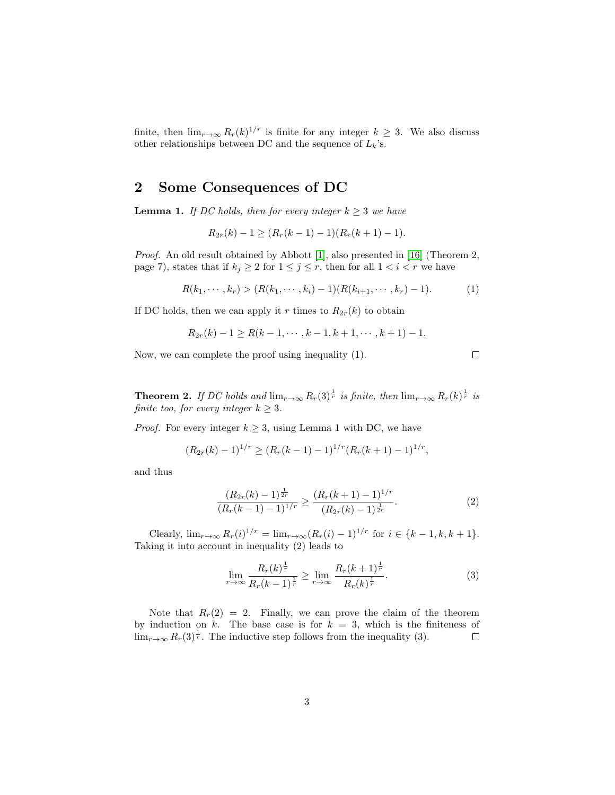finite, then  $\lim_{r\to\infty} R_r(k)^{1/r}$  is finite for any integer  $k \geq 3$ . We also discuss other relationships between DC and the sequence of  $L_k$ 's.

## 2 Some Consequences of DC

**Lemma 1.** If DC holds, then for every integer  $k \geq 3$  we have

$$
R_{2r}(k) - 1 \ge (R_r(k-1) - 1)(R_r(k+1) - 1).
$$

Proof. An old result obtained by Abbott [\[1\]](#page-9-1), also presented in [\[16\]](#page-10-5) (Theorem 2, page 7), states that if  $k_j \geq 2$  for  $1 \leq j \leq r$ , then for all  $1 < i < r$  we have

$$
R(k_1, \cdots, k_r) > (R(k_1, \cdots, k_i) - 1)(R(k_{i+1}, \cdots, k_r) - 1).
$$
 (1)

If DC holds, then we can apply it r times to  $R_{2r}(k)$  to obtain

$$
R_{2r}(k) - 1 \ge R(k - 1, \cdots, k - 1, k + 1, \cdots, k + 1) - 1.
$$

Now, we can complete the proof using inequality (1).

 $\Box$ 

<span id="page-3-0"></span>**Theorem 2.** If DC holds and  $\lim_{r\to\infty} R_r(3)^{\frac{1}{r}}$  is finite, then  $\lim_{r\to\infty} R_r(k)^{\frac{1}{r}}$  is finite too, for every integer  $k \geq 3$ .

*Proof.* For every integer  $k \geq 3$ , using Lemma 1 with DC, we have

$$
(R_{2r}(k)-1)^{1/r} \ge (R_r(k-1)-1)^{1/r} (R_r(k+1)-1)^{1/r},
$$

and thus

$$
\frac{(R_{2r}(k)-1)^{\frac{1}{2r}}}{(R_r(k-1)-1)^{1/r}} \ge \frac{(R_r(k+1)-1)^{1/r}}{(R_{2r}(k)-1)^{\frac{1}{2r}}}.
$$
\n(2)

Clearly,  $\lim_{r \to \infty} R_r(i)^{1/r} = \lim_{r \to \infty} (R_r(i) - 1)^{1/r}$  for  $i \in \{k - 1, k, k + 1\}.$ Taking it into account in inequality (2) leads to

$$
\lim_{r \to \infty} \frac{R_r(k)^{\frac{1}{r}}}{R_r(k-1)^{\frac{1}{r}}} \ge \lim_{r \to \infty} \frac{R_r(k+1)^{\frac{1}{r}}}{R_r(k)^{\frac{1}{r}}}.
$$
\n(3)

Note that  $R_r(2) = 2$ . Finally, we can prove the claim of the theorem by induction on k. The base case is for  $k = 3$ , which is the finiteness of  $\lim_{r\to\infty} R_r(3)^{\frac{1}{r}}$ . The inductive step follows from the inequality (3).  $\Box$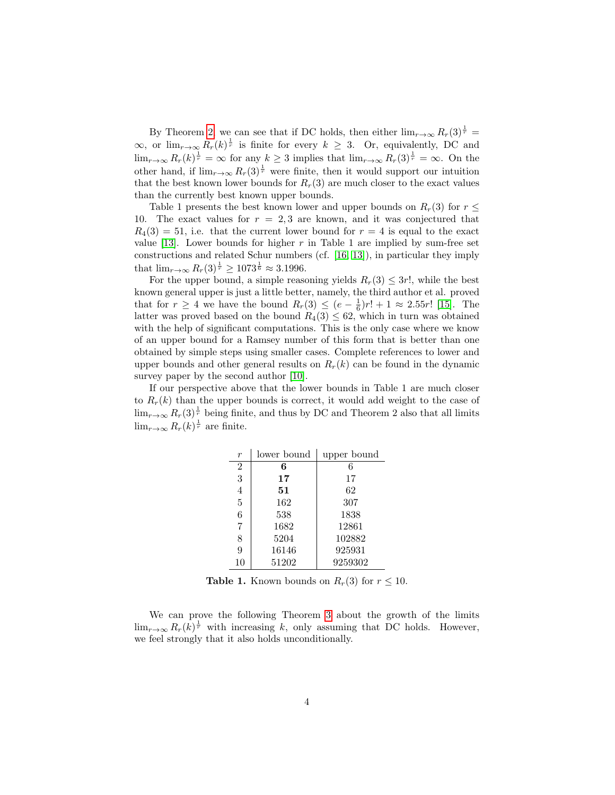By Theorem [2,](#page-3-0) we can see that if DC holds, then either  $\lim_{r\to\infty} R_r(3)^{\frac{1}{r}} =$  $\infty$ , or lim<sub>r→∞</sub>  $R_r(k)^{\frac{1}{r}}$  is finite for every  $k \geq 3$ . Or, equivalently, DC and  $\lim_{r\to\infty} R_r(k)^{\frac{1}{r}} = \infty$  for any  $k \geq 3$  implies that  $\lim_{r\to\infty} R_r(3)^{\frac{1}{r}} = \infty$ . On the other hand, if  $\lim_{r\to\infty} R_r(3)^{\frac{1}{r}}$  were finite, then it would support our intuition that the best known lower bounds for  $R_r(3)$  are much closer to the exact values than the currently best known upper bounds.

Table 1 presents the best known lower and upper bounds on  $R_r(3)$  for  $r \leq$ 10. The exact values for  $r = 2, 3$  are known, and it was conjectured that  $R_4(3) = 51$ , i.e. that the current lower bound for  $r = 4$  is equal to the exact value [\[13\]](#page-10-3). Lower bounds for higher  $r$  in Table 1 are implied by sum-free set constructions and related Schur numbers (cf. [\[16,](#page-10-5) [13\]](#page-10-3)), in particular they imply that  $\lim_{r \to \infty} R_r(3)^{\frac{1}{r}} \ge 1073^{\frac{1}{6}} \approx 3.1996$ .

For the upper bound, a simple reasoning yields  $R_r(3) \leq 3r!$ , while the best known general upper is just a little better, namely, the third author et al. proved that for  $r \geq 4$  we have the bound  $R_r(3) \leq (e - \frac{1}{6})r! + 1 \approx 2.55r!$  [\[15\]](#page-10-6). The latter was proved based on the bound  $R_4(3) \leq 62$ , which in turn was obtained with the help of significant computations. This is the only case where we know of an upper bound for a Ramsey number of this form that is better than one obtained by simple steps using smaller cases. Complete references to lower and upper bounds and other general results on  $R_r(k)$  can be found in the dynamic survey paper by the second author [\[10\]](#page-10-1).

If our perspective above that the lower bounds in Table 1 are much closer to  $R_r(k)$  than the upper bounds is correct, it would add weight to the case of  $\lim_{r\to\infty} R_r(3)^{\frac{1}{r}}$  being finite, and thus by DC and Theorem 2 also that all limits  $\lim_{r\to\infty} R_r(k)^{\frac{1}{r}}$  are finite.

| $\boldsymbol{r}$ | lower bound | upper bound |
|------------------|-------------|-------------|
| $\overline{2}$   | 6           | 6           |
| 3                | 17          | 17          |
| $\overline{4}$   | 51          | 62          |
| 5                | 162         | 307         |
| 6                | 538         | 1838        |
| 7                | 1682        | 12861       |
| 8                | 5204        | 102882      |
| 9                | 16146       | 925931      |
| 10               | 51202       | 9259302     |

**Table 1.** Known bounds on  $R_r(3)$  for  $r \leq 10$ .

We can prove the following Theorem [3](#page-5-0) about the growth of the limits  $\lim_{r\to\infty} R_r(k)^{\frac{1}{r}}$  with increasing k, only assuming that DC holds. However, we feel strongly that it also holds unconditionally.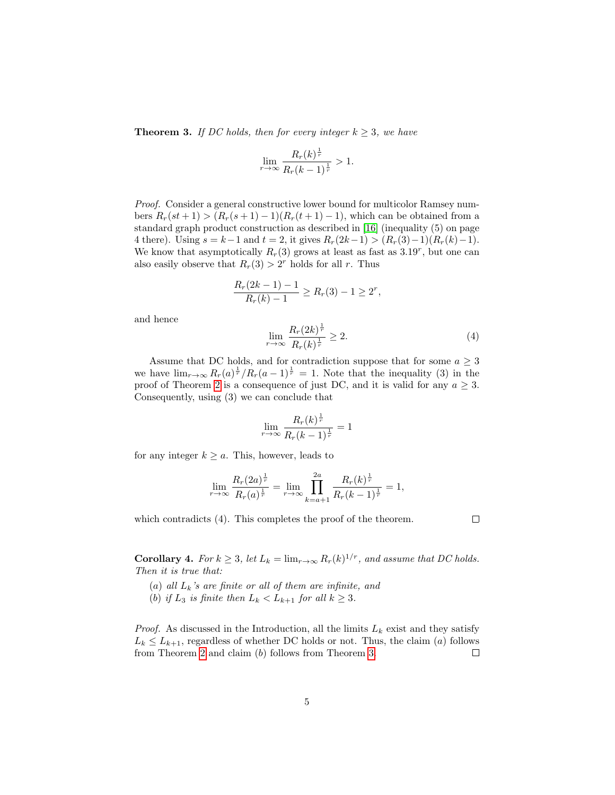<span id="page-5-0"></span>**Theorem 3.** If DC holds, then for every integer  $k \geq 3$ , we have

$$
\lim_{r \to \infty} \frac{R_r(k)^{\frac{1}{r}}}{R_r(k-1)^{\frac{1}{r}}} > 1.
$$

Proof. Consider a general constructive lower bound for multicolor Ramsey numbers  $R_r(st+1) > (R_r(s+1)-1)(R_r(t+1)-1)$ , which can be obtained from a standard graph product construction as described in [\[16\]](#page-10-5) (inequality (5) on page 4 there). Using  $s = k-1$  and  $t = 2$ , it gives  $R_r(2k-1) > (R_r(3)-1)(R_r(k)-1)$ . We know that asymptotically  $R_r(3)$  grows at least as fast as  $3.19^r$ , but one can also easily observe that  $R_r(3) > 2^r$  holds for all r. Thus

$$
\frac{R_r(2k-1)-1}{R_r(k)-1} \ge R_r(3)-1 \ge 2^r,
$$

and hence

$$
\lim_{r \to \infty} \frac{R_r (2k)^{\frac{1}{r}}}{R_r (k)^{\frac{1}{r}}} \ge 2.
$$
\n(4)

Assume that DC holds, and for contradiction suppose that for some  $a \geq 3$ we have  $\lim_{r\to\infty} R_r(a)^{\frac{1}{r}}/R_r(a-1)^{\frac{1}{r}} = 1$ . Note that the inequality (3) in the proof of Theorem [2](#page-3-0) is a consequence of just DC, and it is valid for any  $a \geq 3$ . Consequently, using (3) we can conclude that

$$
\lim_{r \to \infty} \frac{R_r(k)^{\frac{1}{r}}}{R_r(k-1)^{\frac{1}{r}}} = 1
$$

for any integer  $k \ge a$ . This, however, leads to

$$
\lim_{r \to \infty} \frac{R_r(2a)^{\frac{1}{r}}}{R_r(a)^{\frac{1}{r}}} = \lim_{r \to \infty} \prod_{k=a+1}^{2a} \frac{R_r(k)^{\frac{1}{r}}}{R_r(k-1)^{\frac{1}{r}}} = 1,
$$

which contradicts  $(4)$ . This completes the proof of the theorem.

 $\Box$ 

**Corollary 4.** For  $k \geq 3$ , let  $L_k = \lim_{r \to \infty} R_r(k)^{1/r}$ , and assume that DC holds. Then it is true that:

- (a) all  $L_k$ 's are finite or all of them are infinite, and
- (b) if  $L_3$  is finite then  $L_k < L_{k+1}$  for all  $k \geq 3$ .

*Proof.* As discussed in the Introduction, all the limits  $L_k$  exist and they satisfy  $L_k \leq L_{k+1}$ , regardless of whether DC holds or not. Thus, the claim (a) follows from Theorem [2](#page-3-0) and claim (b) follows from Theorem [3.](#page-5-0)  $\Box$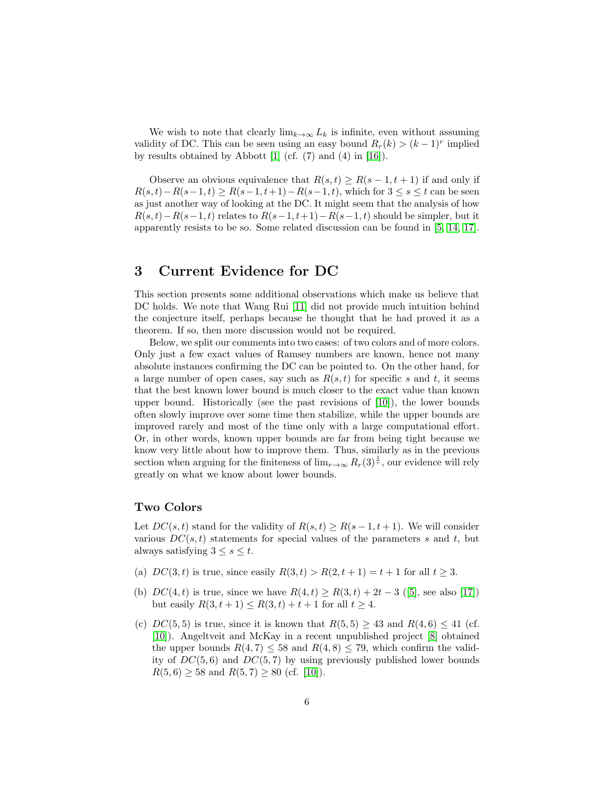We wish to note that clearly  $\lim_{k\to\infty} L_k$  is infinite, even without assuming validity of DC. This can be seen using an easy bound  $R_r(k) > (k-1)^r$  implied by results obtained by Abbott [\[1\]](#page-9-1) (cf. (7) and (4) in [\[16\]](#page-10-5)).

Observe an obvious equivalence that  $R(s,t) \geq R(s-1,t+1)$  if and only if  $R(s, t) - R(s-1, t) \geq R(s-1, t+1) - R(s-1, t)$ , which for  $3 \leq s \leq t$  can be seen as just another way of looking at the DC. It might seem that the analysis of how  $R(s,t) - R(s-1,t)$  relates to  $R(s-1,t+1) - R(s-1,t)$  should be simpler, but it apparently resists to be so. Some related discussion can be found in [\[5,](#page-9-2) [14,](#page-10-7) [17\]](#page-10-8).

## 3 Current Evidence for DC

This section presents some additional observations which make us believe that DC holds. We note that Wang Rui [\[11\]](#page-10-0) did not provide much intuition behind the conjecture itself, perhaps because he thought that he had proved it as a theorem. If so, then more discussion would not be required.

Below, we split our comments into two cases: of two colors and of more colors. Only just a few exact values of Ramsey numbers are known, hence not many absolute instances confirming the DC can be pointed to. On the other hand, for a large number of open cases, say such as  $R(s, t)$  for specific s and t, it seems that the best known lower bound is much closer to the exact value than known upper bound. Historically (see the past revisions of  $[10]$ ), the lower bounds often slowly improve over some time then stabilize, while the upper bounds are improved rarely and most of the time only with a large computational effort. Or, in other words, known upper bounds are far from being tight because we know very little about how to improve them. Thus, similarly as in the previous section when arguing for the finiteness of  $\lim_{r\to\infty} R_r(3)^{\frac{1}{r}}$ , our evidence will rely greatly on what we know about lower bounds.

#### Two Colors

Let  $DC(s, t)$  stand for the validity of  $R(s, t) \geq R(s - 1, t + 1)$ . We will consider various  $DC(s, t)$  statements for special values of the parameters s and t, but always satisfying  $3 \leq s \leq t$ .

- (a)  $DC(3, t)$  is true, since easily  $R(3, t) > R(2, t + 1) = t + 1$  for all  $t \ge 3$ .
- (b)  $DC(4, t)$  is true, since we have  $R(4, t) \ge R(3, t) + 2t 3$  ([\[5\]](#page-9-2), see also [\[17\]](#page-10-8)) but easily  $R(3, t + 1) \le R(3, t) + t + 1$  for all  $t \ge 4$ .
- (c)  $DC(5, 5)$  is true, since it is known that  $R(5, 5) \geq 43$  and  $R(4, 6) \leq 41$  (cf. [\[10\]](#page-10-1)). Angeltveit and McKay in a recent unpublished project [\[8\]](#page-10-9) obtained the upper bounds  $R(4, 7) \leq 58$  and  $R(4, 8) \leq 79$ , which confirm the validity of  $DC(5, 6)$  and  $DC(5, 7)$  by using previously published lower bounds  $R(5,6) \geq 58$  and  $R(5,7) \geq 80$  (cf. [\[10\]](#page-10-1)).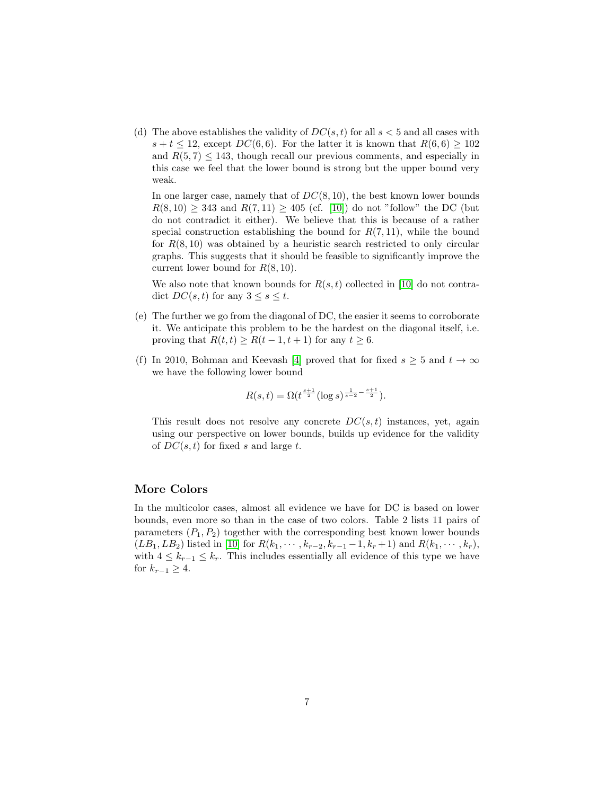(d) The above establishes the validity of  $DC(s, t)$  for all  $s < 5$  and all cases with  $s + t \le 12$ , except  $DC(6, 6)$ . For the latter it is known that  $R(6, 6) \ge 102$ and  $R(5, 7) \le 143$ , though recall our previous comments, and especially in this case we feel that the lower bound is strong but the upper bound very weak.

In one larger case, namely that of  $DC(8, 10)$ , the best known lower bounds  $R(8, 10) \geq 343$  and  $R(7, 11) \geq 405$  (cf. [\[10\]](#page-10-1)) do not "follow" the DC (but do not contradict it either). We believe that this is because of a rather special construction establishing the bound for  $R(7, 11)$ , while the bound for  $R(8, 10)$  was obtained by a heuristic search restricted to only circular graphs. This suggests that it should be feasible to significantly improve the current lower bound for  $R(8, 10)$ .

We also note that known bounds for  $R(s, t)$  collected in [\[10\]](#page-10-1) do not contradict  $DC(s,t)$  for any  $3 \leq s \leq t$ .

- (e) The further we go from the diagonal of DC, the easier it seems to corroborate it. We anticipate this problem to be the hardest on the diagonal itself, i.e. proving that  $R(t, t) \ge R(t - 1, t + 1)$  for any  $t \ge 6$ .
- (f) In 2010, Bohman and Keevash [\[4\]](#page-9-3) proved that for fixed  $s \geq 5$  and  $t \to \infty$ we have the following lower bound

$$
R(s,t) = \Omega(t^{\frac{s+1}{2}} (\log s)^{\frac{1}{s-2} - \frac{s+1}{2}}).
$$

This result does not resolve any concrete  $DC(s,t)$  instances, yet, again using our perspective on lower bounds, builds up evidence for the validity of  $DC(s, t)$  for fixed s and large t.

#### More Colors

In the multicolor cases, almost all evidence we have for DC is based on lower bounds, even more so than in the case of two colors. Table 2 lists 11 pairs of parameters  $(P_1, P_2)$  together with the corresponding best known lower bounds  $(LB_1, LB_2)$  listed in [\[10\]](#page-10-1) for  $R(k_1, \dots, k_{r-2}, k_{r-1}-1, k_r+1)$  and  $R(k_1, \dots, k_r)$ , with  $4 \leq k_{r-1} \leq k_r$ . This includes essentially all evidence of this type we have for  $k_{r-1} \geq 4$ .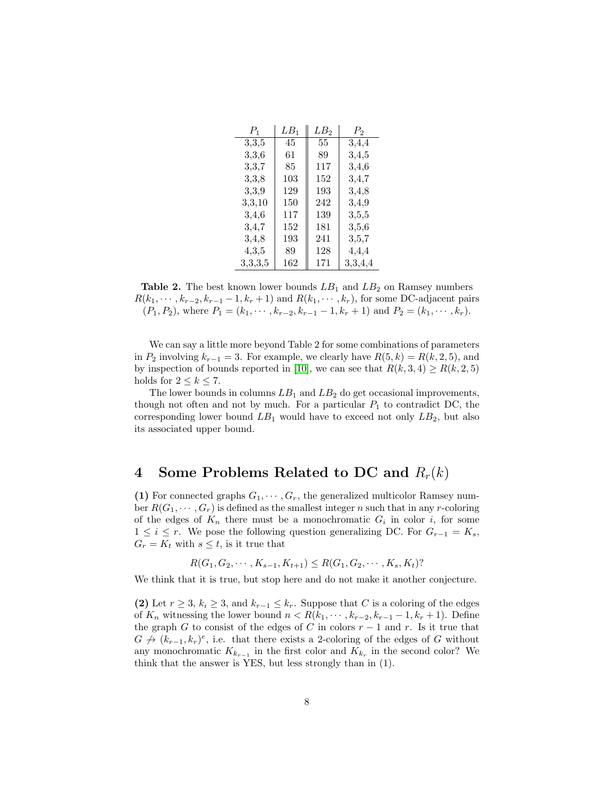| $P_1$      | $LB_1$ | LB2 | $P_2$   |
|------------|--------|-----|---------|
| $^{3,3,5}$ | 45     | 55  | 3,4,4   |
| 3,3,6      | 61     | 89  | 3,4,5   |
| 3,3,7      | 85     | 117 | 3,4,6   |
| 3,3,8      | 103    | 152 | 3,4,7   |
| 3,3,9      | 129    | 193 | 3,4,8   |
| 3,3,10     | 150    | 242 | 3,4,9   |
| 3,4,6      | 117    | 139 | 3,5,5   |
| 3,4,7      | 152    | 181 | 3,5,6   |
| 3,4,8      | 193    | 241 | 3,5,7   |
| 4,3,5      | 89     | 128 | 4,4,4   |
| 3,3,3,5    | 162    | 171 | 3,3,4,4 |

Table 2. The best known lower bounds  $LB<sub>1</sub>$  and  $LB<sub>2</sub>$  on Ramsey numbers  $R(k_1, \dots, k_{r-2}, k_{r-1}-1, k_r+1)$  and  $R(k_1, \dots, k_r)$ , for some DC-adjacent pairs  $(P_1, P_2)$ , where  $P_1 = (k_1, \dots, k_{r-2}, k_{r-1} - 1, k_r + 1)$  and  $P_2 = (k_1, \dots, k_r)$ .

We can say a little more beyond Table 2 for some combinations of parameters in  $P_2$  involving  $k_{r-1} = 3$ . For example, we clearly have  $R(5, k) = R(k, 2, 5)$ , and by inspection of bounds reported in [\[10\]](#page-10-1), we can see that  $R(k, 3, 4) \ge R(k, 2, 5)$ holds for  $2 \leq k \leq 7$ .

The lower bounds in columns  $LB_1$  and  $LB_2$  do get occasional improvements, though not often and not by much. For a particular  $P_1$  to contradict DC, the corresponding lower bound  $LB_1$  would have to exceed not only  $LB_2$ , but also its associated upper bound.

## 4 Some Problems Related to DC and  $R_r(k)$

(1) For connected graphs  $G_1, \dots, G_r$ , the generalized multicolor Ramsey number  $R(G_1, \dots, G_r)$  is defined as the smallest integer n such that in any r-coloring of the edges of  $K_n$  there must be a monochromatic  $G_i$  in color i, for some  $1 \leq i \leq r$ . We pose the following question generalizing DC. For  $G_{r-1} = K_s$ ,  $G_r = K_t$  with  $s \leq t$ , is it true that

$$
R(G_1, G_2, \cdots, K_{s-1}, K_{t+1}) \leq R(G_1, G_2, \cdots, K_s, K_t)?
$$

We think that it is true, but stop here and do not make it another conjecture.

(2) Let  $r \geq 3$ ,  $k_i \geq 3$ , and  $k_{r-1} \leq k_r$ . Suppose that C is a coloring of the edges of  $K_n$  witnessing the lower bound  $n < R(k_1, \dots, k_{r-2}, k_{r-1}-1, k_r+1)$ . Define the graph G to consist of the edges of C in colors  $r - 1$  and r. Is it true that  $G \nrightarrow (k_{r-1}, k_r)^e$ , i.e. that there exists a 2-coloring of the edges of G without any monochromatic  $K_{k_{r-1}}$  in the first color and  $K_{k_r}$  in the second color? We think that the answer is YES, but less strongly than in (1).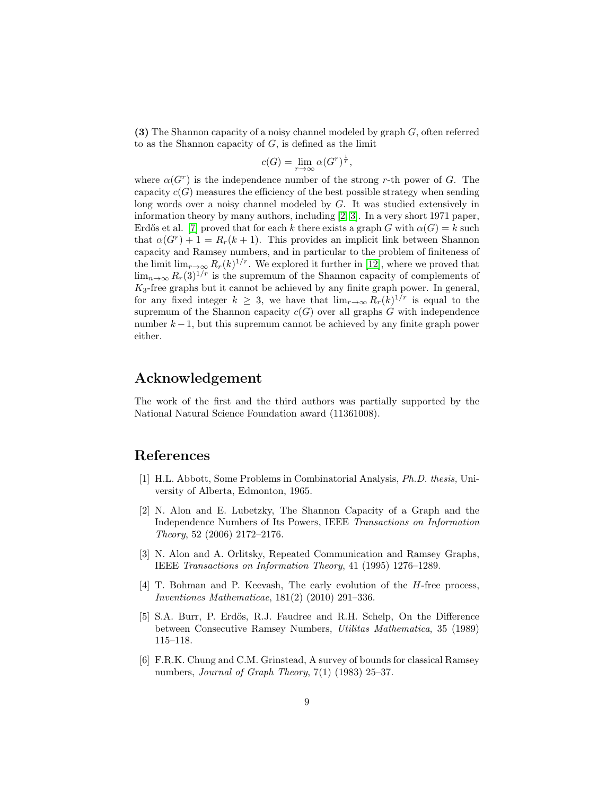(3) The Shannon capacity of a noisy channel modeled by graph G, often referred to as the Shannon capacity of  $G$ , is defined as the limit

$$
c(G) = \lim_{r \to \infty} \alpha(G^r)^{\frac{1}{r}},
$$

where  $\alpha(G^r)$  is the independence number of the strong r-th power of G. The capacity  $c(G)$  measures the efficiency of the best possible strategy when sending long words over a noisy channel modeled by G. It was studied extensively in information theory by many authors, including [\[2,](#page-9-4) [3\]](#page-9-5). In a very short 1971 paper, Erdős et al. [\[7\]](#page-10-10) proved that for each k there exists a graph G with  $\alpha(G) = k$  such that  $\alpha(G^r) + 1 = R_r(k+1)$ . This provides an implicit link between Shannon capacity and Ramsey numbers, and in particular to the problem of finiteness of the limit  $\lim_{r\to\infty} R_r(k)^{1/r}$ . We explored it further in [\[12\]](#page-10-4), where we proved that  $\lim_{n\to\infty} R_r(3)^{1/r}$  is the supremum of the Shannon capacity of complements of  $K_3$ -free graphs but it cannot be achieved by any finite graph power. In general, for any fixed integer  $k \geq 3$ , we have that  $\lim_{r\to\infty} R_r(k)^{1/r}$  is equal to the supremum of the Shannon capacity  $c(G)$  over all graphs G with independence number  $k - 1$ , but this supremum cannot be achieved by any finite graph power either.

### Acknowledgement

The work of the first and the third authors was partially supported by the National Natural Science Foundation award (11361008).

#### References

- <span id="page-9-1"></span>[1] H.L. Abbott, Some Problems in Combinatorial Analysis, Ph.D. thesis, University of Alberta, Edmonton, 1965.
- <span id="page-9-4"></span>[2] N. Alon and E. Lubetzky, The Shannon Capacity of a Graph and the Independence Numbers of Its Powers, IEEE Transactions on Information Theory, 52 (2006) 2172–2176.
- <span id="page-9-5"></span>[3] N. Alon and A. Orlitsky, Repeated Communication and Ramsey Graphs, IEEE Transactions on Information Theory, 41 (1995) 1276–1289.
- <span id="page-9-3"></span>[4] T. Bohman and P. Keevash, The early evolution of the H-free process, Inventiones Mathematicae, 181(2) (2010) 291–336.
- <span id="page-9-2"></span>[5] S.A. Burr, P. Erd˝os, R.J. Faudree and R.H. Schelp, On the Difference between Consecutive Ramsey Numbers, Utilitas Mathematica, 35 (1989) 115–118.
- <span id="page-9-0"></span>[6] F.R.K. Chung and C.M. Grinstead, A survey of bounds for classical Ramsey numbers, Journal of Graph Theory, 7(1) (1983) 25–37.